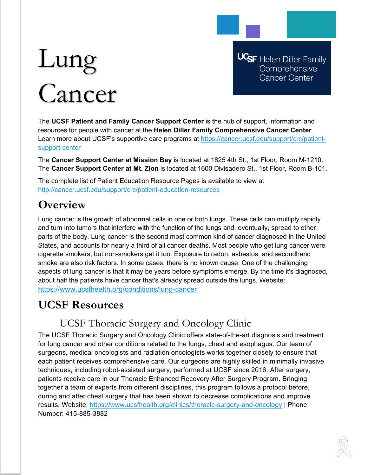# Lung Cancer

**UCSF** Helen Diller Family Comprehensive **Cancer Center** 

The **UCSF Patient and Family Cancer Support Center** is the hub of support, information and resources for people with cancer at the **Helen Diller Family Comprehensive Cancer Center**. Learn more about UCSF's supportive care programs at [https://cancer.ucsf.edu/support/crc/patient](https://cancer.ucsf.edu/support/crc/patient-support-center)[support-center](https://cancer.ucsf.edu/support/crc/patient-support-center)

The **Cancer Support Center at Mission Bay** is located at 1825 4th St., 1st Floor, Room M-1210. The **Cancer Support Center at Mt. Zion** is located at 1600 Divisadero St., 1st Floor, Room B-101.

The complete list of Patient Education Resource Pages is available to view at <http://cancer.ucsf.edu/support/crc/patient-education-resources>

# **Overview**

Lung cancer is the growth of abnormal cells in one or both lungs. These cells can multiply rapidly and turn into tumors that interfere with the function of the lungs and, eventually, spread to other parts of the body. Lung cancer is the second most common kind of cancer diagnosed in the United States, and accounts for nearly a third of all cancer deaths. Most people who get lung cancer were cigarette smokers, but non-smokers get it too. Exposure to radon, asbestos, and secondhand smoke are also risk factors. In some cases, there is no known cause. One of the challenging aspects of lung cancer is that it may be years before symptoms emerge. By the time it's diagnosed, about half the patients have cancer that's already spread outside the lungs. Website: <https://www.ucsfhealth.org/conditions/lung-cancer>

# **UCSF Resources**

## UCSF Thoracic Surgery and Oncology Clinic

The UCSF Thoracic Surgery and Oncology Clinic offers state-of-the-art diagnosis and treatment for lung cancer and other conditions related to the lungs, chest and esophagus. Our team of surgeons, medical oncologists and radiation oncologists works together closely to ensure that each patient receives comprehensive care. Our surgeons are highly skilled in minimally invasive techniques, including robot-assisted surgery, performed at UCSF since 2016. After surgery, patients receive care in our Thoracic Enhanced Recovery After Surgery Program. Bringing together a team of experts from different disciplines, this program follows a protocol before, during and after chest surgery that has been shown to decrease complications and improve results. Website:<https://www.ucsfhealth.org/clinics/thoracic-surgery-and-oncology> | Phone Number: 415-885-3882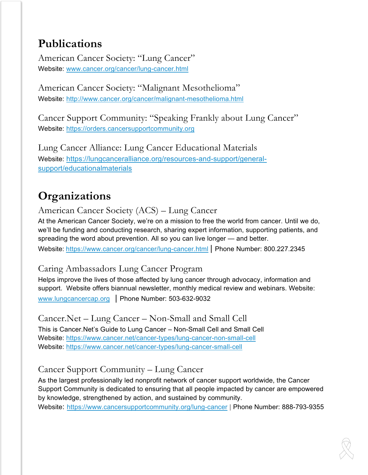# **Publications**

American Cancer Society: "Lung Cancer" Website: [www.cancer.org/cancer/lung-cancer.html](http://www.cancer.org/cancer/lung-cancer.html)

American Cancer Society: "Malignant Mesothelioma" Website: <http://www.cancer.org/cancer/malignant-mesothelioma.html>

Cancer Support Community: "Speaking Frankly about Lung Cancer" Website: [https://orders.cancersupportcommunity.org](https://orders.cancersupportcommunity.org/)

Lung Cancer Alliance: Lung Cancer Educational Materials Website: [https://lungcanceralliance.org/resources-and-support/general](https://lungcanceralliance.org/resources-and-support/general-support/educationalmaterials)[support/educationalmaterials](https://lungcanceralliance.org/resources-and-support/general-support/educationalmaterials)

# **Organizations**

American Cancer Society (ACS) – Lung Cancer

At the American Cancer Society, we're on a mission to free the world from cancer. Until we do, we'll be funding and conducting research, sharing expert information, supporting patients, and spreading the word about prevention. All so you can live longer — and better. Website: <https://www.cancer.org/cancer/lung-cancer.html> | Phone Number: 800.227.2345

## Caring Ambassadors Lung Cancer Program

Helps improve the lives of those affected by lung cancer through advocacy, information and support. Website offers biannual newsletter, monthly medical review and webinars. Website: [www.lungcancercap.org](http://www.lungcancercap.org/) | Phone Number: 503-632-9032

Cancer.Net – Lung Cancer – Non-Small and Small Cell This is Cancer.Net's Guide to Lung Cancer – Non-Small Cell and Small Cell Website:<https://www.cancer.net/cancer-types/lung-cancer-non-small-cell> Website:<https://www.cancer.net/cancer-types/lung-cancer-small-cell>

## Cancer Support Community – Lung Cancer

As the largest professionally led nonprofit network of cancer support worldwide, the Cancer Support Community is dedicated to ensuring that all people impacted by cancer are empowered by knowledge, strengthened by action, and sustained by community. Website: <https://www.cancersupportcommunity.org/lung-cancer> | Phone Number: 888-793-9355